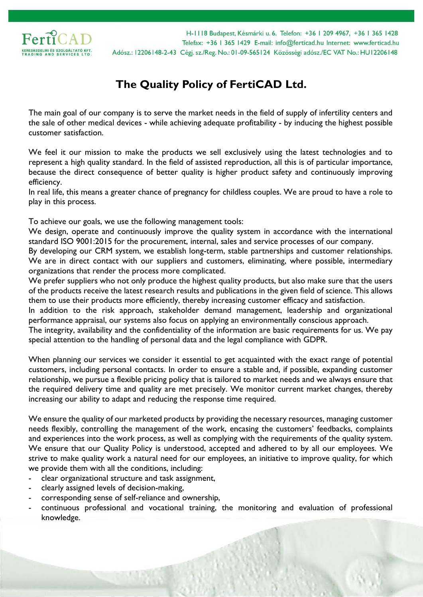

H-1118 Budapest, Késmárki u. 6. Telefon: +36 | 209 4967, +36 | 365 1428 Telefax: +36 | 365 | 429 E-mail: info@ferticad.hu Internet: www.ferticad.hu Adósz.: 12206148-2-43 Cégi. sz./Reg. No.: 01-09-565124 Közösségi adósz./EC VAT No.: HU12206148

## **The Quality Policy of FertiCAD Ltd.**

The main goal of our company is to serve the market needs in the field of supply of infertility centers and the sale of other medical devices - while achieving adequate profitability - by inducing the highest possible customer satisfaction.

We feel it our mission to make the products we sell exclusively using the latest technologies and to represent a high quality standard. In the field of assisted reproduction, all this is of particular importance, because the direct consequence of better quality is higher product safety and continuously improving efficiency.

In real life, this means a greater chance of pregnancy for childless couples. We are proud to have a role to play in this process.

To achieve our goals, we use the following management tools:

We design, operate and continuously improve the quality system in accordance with the international standard ISO 9001:2015 for the procurement, internal, sales and service processes of our company.

By developing our CRM system, we establish long-term, stable partnerships and customer relationships. We are in direct contact with our suppliers and customers, eliminating, where possible, intermediary organizations that render the process more complicated.

We prefer suppliers who not only produce the highest quality products, but also make sure that the users of the products receive the latest research results and publications in the given field of science. This allows them to use their products more efficiently, thereby increasing customer efficacy and satisfaction.

In addition to the risk approach, stakeholder demand management, leadership and organizational performance appraisal, our systems also focus on applying an environmentally conscious approach.

The integrity, availability and the confidentiality of the information are basic requirements for us. We pay special attention to the handling of personal data and the legal compliance with GDPR.

When planning our services we consider it essential to get acquainted with the exact range of potential customers, including personal contacts. In order to ensure a stable and, if possible, expanding customer relationship, we pursue a flexible pricing policy that is tailored to market needs and we always ensure that the required delivery time and quality are met precisely. We monitor current market changes, thereby increasing our ability to adapt and reducing the response time required.

We ensure the quality of our marketed products by providing the necessary resources, managing customer needs flexibly, controlling the management of the work, encasing the customers' feedbacks, complaints and experiences into the work process, as well as complying with the requirements of the quality system. We ensure that our Quality Policy is understood, accepted and adhered to by all our employees. We strive to make quality work a natural need for our employees, an initiative to improve quality, for which we provide them with all the conditions, including:

- clear organizational structure and task assignment,
- clearly assigned levels of decision-making,
- corresponding sense of self-reliance and ownership,
- continuous professional and vocational training, the monitoring and evaluation of professional knowledge.